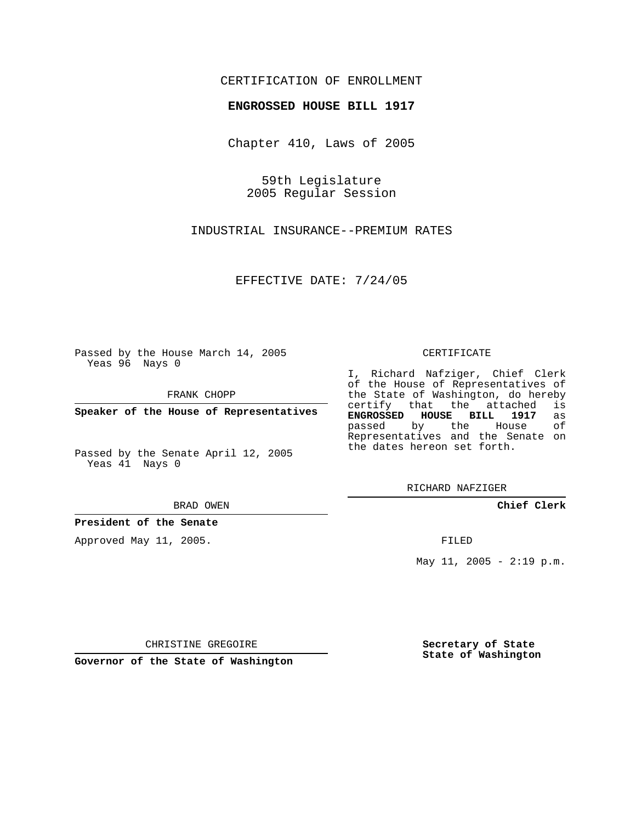## CERTIFICATION OF ENROLLMENT

## **ENGROSSED HOUSE BILL 1917**

Chapter 410, Laws of 2005

59th Legislature 2005 Regular Session

INDUSTRIAL INSURANCE--PREMIUM RATES

EFFECTIVE DATE: 7/24/05

Passed by the House March 14, 2005 Yeas 96 Nays 0

FRANK CHOPP

**Speaker of the House of Representatives**

Passed by the Senate April 12, 2005 Yeas 41 Nays 0

BRAD OWEN

**President of the Senate**

Approved May 11, 2005.

CERTIFICATE

I, Richard Nafziger, Chief Clerk of the House of Representatives of the State of Washington, do hereby<br>certify that the attached is certify that the attached **ENGROSSED HOUSE BILL 1917** as passed by the House Representatives and the Senate on the dates hereon set forth.

RICHARD NAFZIGER

**Chief Clerk**

FILED

May 11, 2005 -  $2:19$  p.m.

CHRISTINE GREGOIRE

**Governor of the State of Washington**

**Secretary of State State of Washington**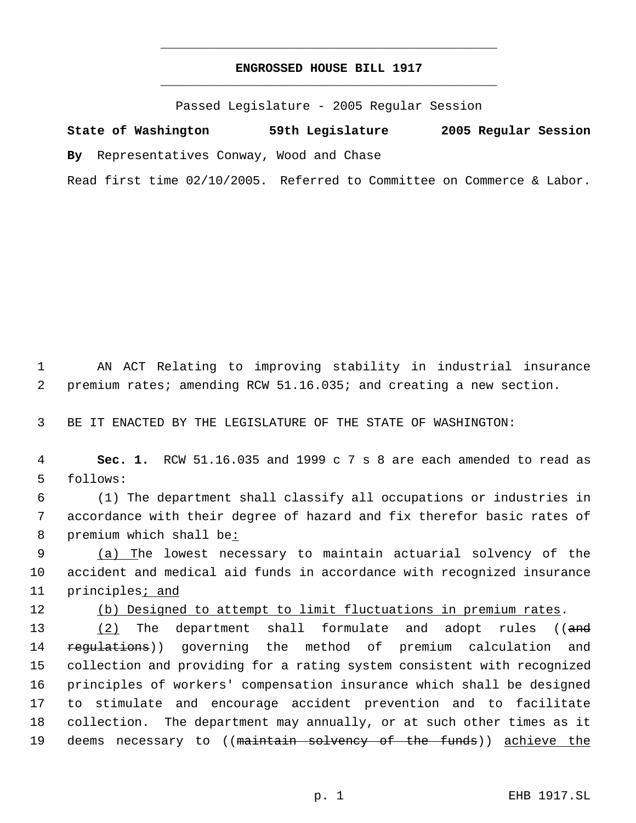## **ENGROSSED HOUSE BILL 1917** \_\_\_\_\_\_\_\_\_\_\_\_\_\_\_\_\_\_\_\_\_\_\_\_\_\_\_\_\_\_\_\_\_\_\_\_\_\_\_\_\_\_\_\_\_

\_\_\_\_\_\_\_\_\_\_\_\_\_\_\_\_\_\_\_\_\_\_\_\_\_\_\_\_\_\_\_\_\_\_\_\_\_\_\_\_\_\_\_\_\_

Passed Legislature - 2005 Regular Session

**State of Washington 59th Legislature 2005 Regular Session By** Representatives Conway, Wood and Chase Read first time 02/10/2005. Referred to Committee on Commerce & Labor.

 1 AN ACT Relating to improving stability in industrial insurance 2 premium rates; amending RCW 51.16.035; and creating a new section.

3 BE IT ENACTED BY THE LEGISLATURE OF THE STATE OF WASHINGTON:

 4 **Sec. 1.** RCW 51.16.035 and 1999 c 7 s 8 are each amended to read as 5 follows:

 6 (1) The department shall classify all occupations or industries in 7 accordance with their degree of hazard and fix therefor basic rates of 8 premium which shall be:

9 (a) The lowest necessary to maintain actuarial solvency of the 10 accident and medical aid funds in accordance with recognized insurance 11 principles<sub>i</sub> and

12 (b) Designed to attempt to limit fluctuations in premium rates.

13 (2) The department shall formulate and adopt rules ((and 14 regulations)) governing the method of premium calculation and 15 collection and providing for a rating system consistent with recognized 16 principles of workers' compensation insurance which shall be designed 17 to stimulate and encourage accident prevention and to facilitate 18 collection. The department may annually, or at such other times as it 19 deems necessary to ((maintain solvency of the funds)) achieve the